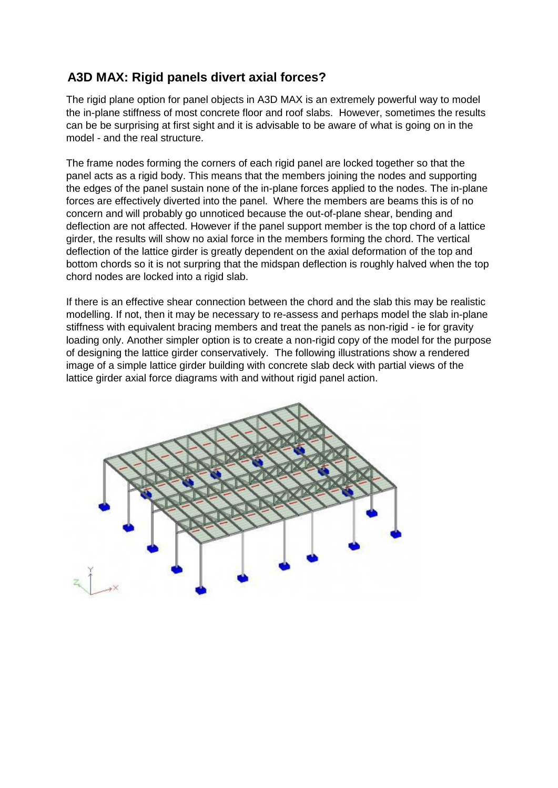## **A3D MAX: Rigid panels divert axial forces?**

The rigid plane option for panel objects in A3D MAX is an extremely powerful way to model the in-plane stiffness of most concrete floor and roof slabs. However, sometimes the results can be be surprising at first sight and it is advisable to be aware of what is going on in the model - and the real structure.

The frame nodes forming the corners of each rigid panel are locked together so that the panel acts as a rigid body. This means that the members joining the nodes and supporting the edges of the panel sustain none of the in-plane forces applied to the nodes. The in-plane forces are effectively diverted into the panel. Where the members are beams this is of no concern and will probably go unnoticed because the out-of-plane shear, bending and deflection are not affected. However if the panel support member is the top chord of a lattice girder, the results will show no axial force in the members forming the chord. The vertical deflection of the lattice girder is greatly dependent on the axial deformation of the top and bottom chords so it is not surpring that the midspan deflection is roughly halved when the top chord nodes are locked into a rigid slab.

If there is an effective shear connection between the chord and the slab this may be realistic modelling. If not, then it may be necessary to re-assess and perhaps model the slab in-plane stiffness with equivalent bracing members and treat the panels as non-rigid - ie for gravity loading only. Another simpler option is to create a non-rigid copy of the model for the purpose of designing the lattice girder conservatively. The following illustrations show a rendered image of a simple lattice girder building with concrete slab deck with partial views of the lattice girder axial force diagrams with and without rigid panel action.